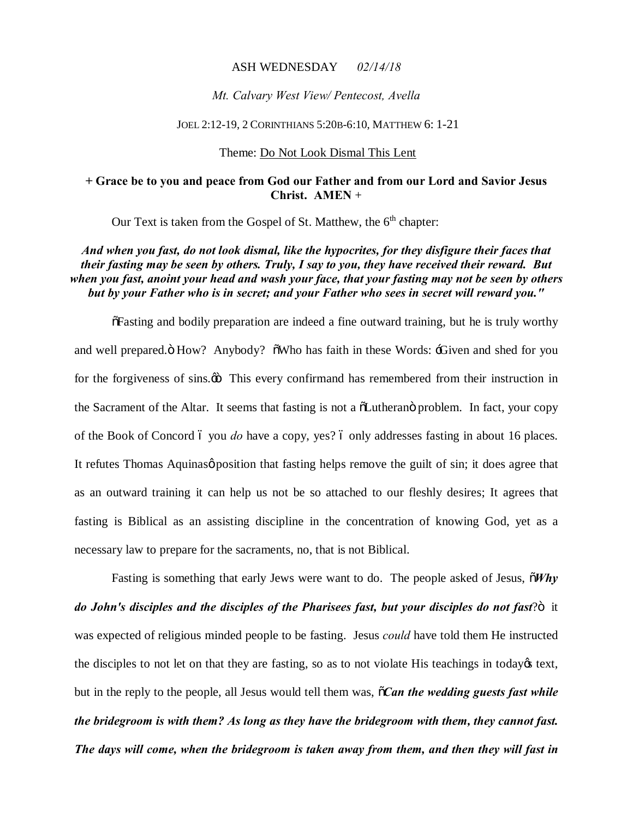### ASH WEDNESDAY *02/14/18*

### *Mt. Calvary West View/ Pentecost, Avella*

#### JOEL 2:12-19, 2 CORINTHIANS 5:20B-6:10, MATTHEW 6: 1-21

### Theme: Do Not Look Dismal This Lent

## **+ Grace be to you and peace from God our Father and from our Lord and Savior Jesus Christ. AMEN** +

Our Text is taken from the Gospel of St. Matthew, the  $6<sup>th</sup>$  chapter:

## *And when you fast, do not look dismal, like the hypocrites, for they disfigure their faces that their fasting may be seen by others. Truly, I say to you, they have received their reward. But when you fast, anoint your head and wash your face, that your fasting may not be seen by others but by your Father who is in secret; and your Father who sees in secret will reward you."*

"Fasting and bodily preparation are indeed a fine outward training, but he is truly worthy and well prepared. "How? Anybody? " Who has faith in these Words: "Given and shed for you for the forgiveness of sins. $\ddot{\omega}$  This every confirmand has remembered from their instruction in the Sacrament of the Altar. It seems that fasting is not a  $\delta$ Lutheran $\ddot{o}$  problem. In fact, your copy of the Book of Concord 6 you *do* have a copy, yes? 6 only addresses fasting in about 16 places. It refutes Thomas Aquinas *position* that fasting helps remove the guilt of sin; it does agree that as an outward training it can help us not be so attached to our fleshly desires; It agrees that fasting is Biblical as an assisting discipline in the concentration of knowing God, yet as a necessary law to prepare for the sacraments, no, that is not Biblical.

Fasting is something that early Jews were want to do. The people asked of Jesus,  $\tilde{o}Why$ do John's disciples and the disciples of the Pharisees fast, but your disciples do not fast? $\ddot{o}$  it was expected of religious minded people to be fasting. Jesus *could* have told them He instructed the disciples to not let on that they are fasting, so as to not violate His teachings in today  $\&$  text, but in the reply to the people, all Jesus would tell them was, "*Can the wedding guests fast while the bridegroom is with them? As long as they have the bridegroom with them, they cannot fast. The days will come, when the bridegroom is taken away from them, and then they will fast in*